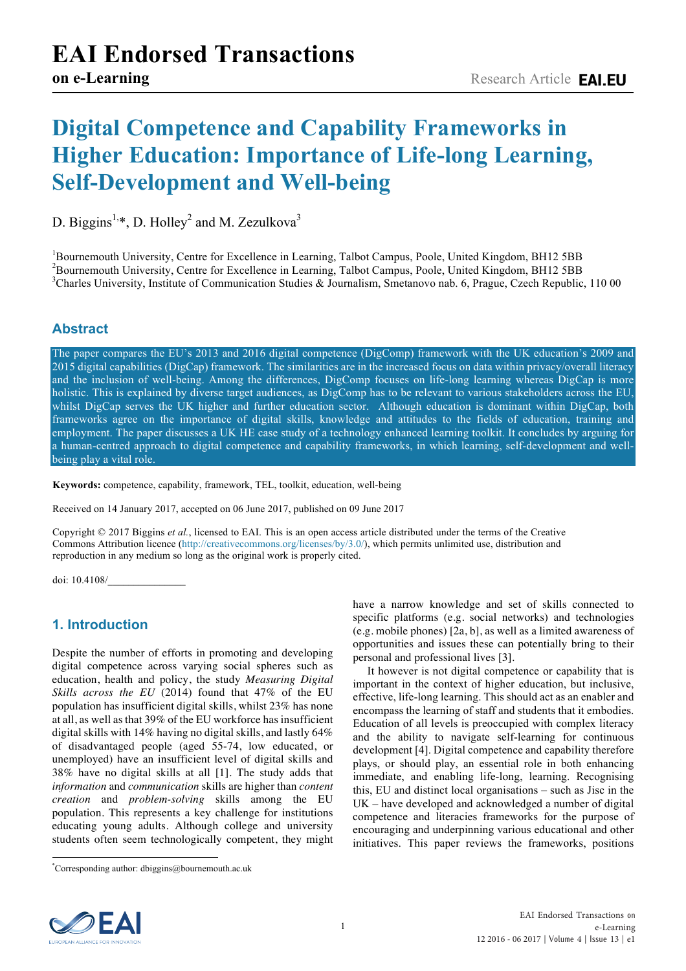# **Digital Competence and Capability Frameworks in Higher Education: Importance of Life-long Learning, Self-Development and Well-being**

D. Biggins<sup>1,\*</sup>, D. Holley<sup>2</sup> and M. Zezulkova<sup>3</sup>

<sup>1</sup>Bournemouth University, Centre for Excellence in Learning, Talbot Campus, Poole, United Kingdom, BH12 5BB<br><sup>2</sup>Bournamouth University, Centre for Excellence in Learning, Talbot Campus, Boole, United Kingdom, BH12 5BB  $B^2$ Bournemouth University, Centre for Excellence in Learning, Talbot Campus, Poole, United Kingdom, BH12 5BB <sup>3</sup>Charles University, Institute of Communication Studies & Journalism, Smetanovo nab. 6, Prague, Czech Republic, 110 00

# **Abstract**

The paper compares the EU's 2013 and 2016 digital competence (DigComp) framework with the UK education's 2009 and 2015 digital capabilities (DigCap) framework. The similarities are in the increased focus on data within privacy/overall literacy and the inclusion of well-being. Among the differences, DigComp focuses on life-long learning whereas DigCap is more holistic. This is explained by diverse target audiences, as DigComp has to be relevant to various stakeholders across the EU, whilst DigCap serves the UK higher and further education sector. Although education is dominant within DigCap, both frameworks agree on the importance of digital skills, knowledge and attitudes to the fields of education, training and employment. The paper discusses a UK HE case study of a technology enhanced learning toolkit. It concludes by arguing for a human-centred approach to digital competence and capability frameworks, in which learning, self-development and wellbeing play a vital role.

**Keywords:** competence, capability, framework, TEL, toolkit, education, well-being

Received on 14 January 2017, accepted on 06 June 2017, published on 09 June 2017

Copyright © 2017 Biggins *et al.*, licensed to EAI. This is an open access article distributed under the terms of the Creative Commons Attribution licence (http://creativecommons.org/licenses/by/3.0/), which permits unlimited use, distribution and reproduction in any medium so long as the original work is properly cited.

doi: 10.4108/\_\_\_\_\_\_\_\_\_\_\_\_\_\_\_

# **1. Introduction**

Despite the number of efforts in promoting and developing digital competence across varying social spheres such as education, health and policy, the study *Measuring Digital Skills across the EU* (2014) found that 47% of the EU population has insufficient digital skills, whilst 23% has none at all, as well as that 39% of the EU workforce has insufficient digital skills with 14% having no digital skills, and lastly 64% of disadvantaged people (aged 55-74, low educated, or unemployed) have an insufficient level of digital skills and 38% have no digital skills at all [1]. The study adds that *information* and *communication* skills are higher than *content creation* and *problem-solving* skills among the EU population. This represents a key challenge for institutions educating young adults. Although college and university students often seem technologically competent, they might

have a narrow knowledge and set of skills connected to specific platforms (e.g. social networks) and technologies (e.g. mobile phones) [2a, b], as well as a limited awareness of opportunities and issues these can potentially bring to their personal and professional lives [3].

 It however is not digital competence or capability that is important in the context of higher education, but inclusive, effective, life-long learning. This should act as an enabler and encompass the learning of staff and students that it embodies. Education of all levels is preoccupied with complex literacy and the ability to navigate self-learning for continuous development [4]. Digital competence and capability therefore plays, or should play, an essential role in both enhancing immediate, and enabling life-long, learning. Recognising this, EU and distinct local organisations – such as Jisc in the UK – have developed and acknowledged a number of digital competence and literacies frameworks for the purpose of encouraging and underpinning various educational and other initiatives. This paper reviews the frameworks, positions



<sup>\*</sup> Corresponding author: dbiggins@bournemouth.ac.uk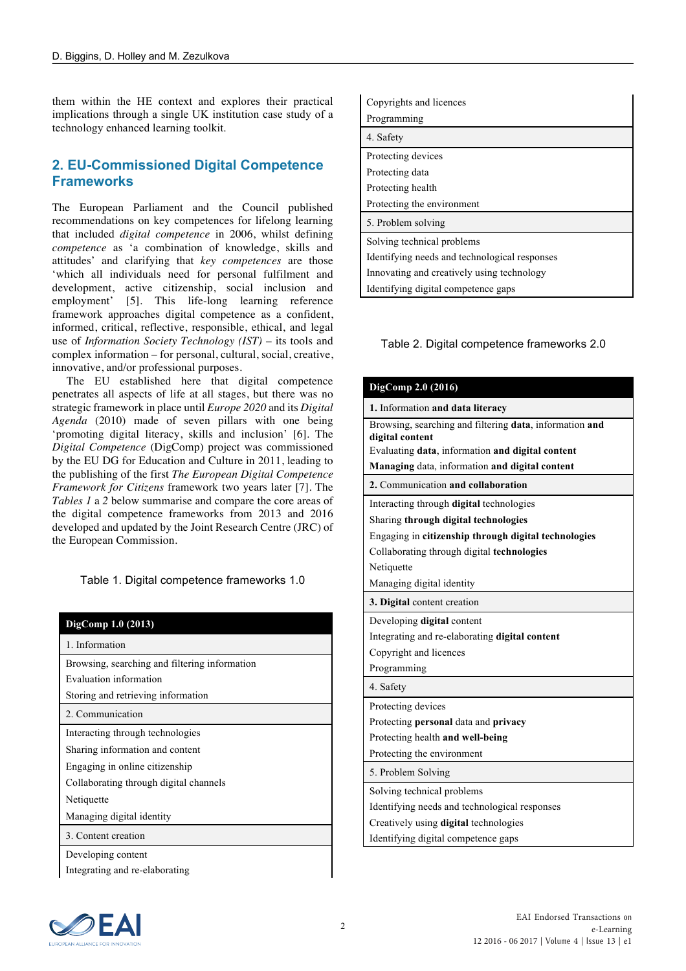them within the HE context and explores their practical implications through a single UK institution case study of a technology enhanced learning toolkit.

## **2. EU-Commissioned Digital Competence Frameworks**

The European Parliament and the Council published recommendations on key competences for lifelong learning that included *digital competence* in 2006, whilst defining *competence* as 'a combination of knowledge, skills and attitudes' and clarifying that *key competences* are those 'which all individuals need for personal fulfilment and development, active citizenship, social inclusion and employment' [5]. This life-long learning reference framework approaches digital competence as a confident, informed, critical, reflective, responsible, ethical, and legal use of *Information Society Technology (IST)* – its tools and complex information – for personal, cultural, social, creative, innovative, and/or professional purposes.

 The EU established here that digital competence penetrates all aspects of life at all stages, but there was no strategic framework in place until *Europe 2020* and its *Digital Agenda* (2010) made of seven pillars with one being 'promoting digital literacy, skills and inclusion' [6]. The *Digital Competence* (DigComp) project was commissioned by the EU DG for Education and Culture in 2011, leading to the publishing of the first *The European Digital Competence Framework for Citizens* framework two years later [7]. The *Tables 1* a *2* below summarise and compare the core areas of the digital competence frameworks from 2013 and 2016 developed and updated by the Joint Research Centre (JRC) of the European Commission.

Table 1. Digital competence frameworks 1.0

| DigComp 1.0 (2013)                            |
|-----------------------------------------------|
| 1. Information                                |
| Browsing, searching and filtering information |
| Evaluation information                        |
| Storing and retrieving information            |
| 2. Communication                              |
| Interacting through technologies              |
| Sharing information and content               |
| Engaging in online citizenship                |
| Collaborating through digital channels        |
| Netiquette                                    |
| Managing digital identity                     |
| 3. Content creation                           |
| Developing content                            |
| Integrating and re-elaborating                |

| Copyrights and licences                       |
|-----------------------------------------------|
| Programming                                   |
| 4. Safety                                     |
| Protecting devices                            |
| Protecting data                               |
| Protecting health                             |
| Protecting the environment                    |
| 5. Problem solving                            |
| Solving technical problems                    |
| Identifying needs and technological responses |
| Innovating and creatively using technology    |
| Identifying digital competence gaps           |

#### Table 2. Digital competence frameworks 2.0

| DigComp 2.0 (2016)                                                         |
|----------------------------------------------------------------------------|
| 1. Information and data literacy                                           |
| Browsing, searching and filtering data, information and<br>digital content |
| Evaluating data, information and digital content                           |
| Managing data, information and digital content                             |
| 2. Communication and collaboration                                         |
| Interacting through <b>digital</b> technologies                            |
| Sharing through digital technologies                                       |
| Engaging in citizenship through digital technologies                       |
| Collaborating through digital technologies                                 |
| Netiquette                                                                 |
| Managing digital identity                                                  |
| 3. Digital content creation                                                |
| Developing digital content                                                 |
| Integrating and re-elaborating <b>digital content</b>                      |
| Copyright and licences                                                     |
| Programming                                                                |
| 4. Safety                                                                  |
| Protecting devices                                                         |
| Protecting <b>personal</b> data and <b>privacy</b>                         |
| Protecting health and well-being                                           |
| Protecting the environment                                                 |
| 5. Problem Solving                                                         |
| Solving technical problems                                                 |
| Identifying needs and technological responses                              |
| Creatively using <b>digital</b> technologies                               |
| Identifying digital competence gaps                                        |

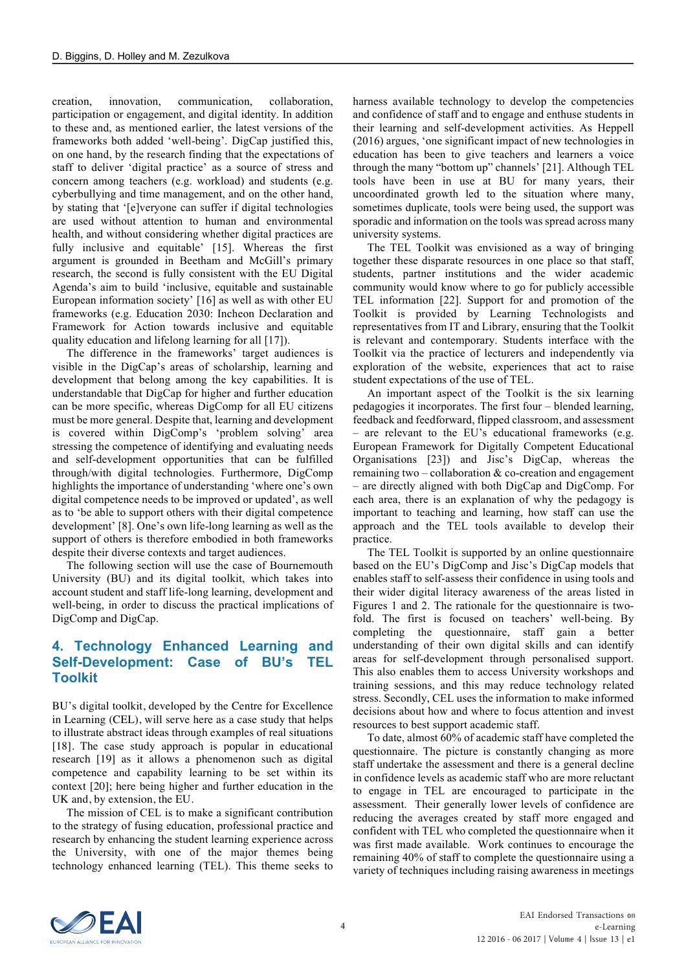creation, innovation, communication, collaboration, participation or engagement, and digital identity. In addition to these and, as mentioned earlier, the latest versions of the frameworks both added 'well-being'. DigCap justified this, on one hand, by the research finding that the expectations of staff to deliver 'digital practice' as a source of stress and concern among teachers (e.g. workload) and students (e.g. cyberbullying and time management, and on the other hand, by stating that '[e]veryone can suffer if digital technologies are used without attention to human and environmental health, and without considering whether digital practices are fully inclusive and equitable' [15]. Whereas the first argument is grounded in Beetham and McGill's primary research, the second is fully consistent with the EU Digital Agenda's aim to build 'inclusive, equitable and sustainable European information society' [16] as well as with other EU frameworks (e.g. Education 2030: Incheon Declaration and Framework for Action towards inclusive and equitable quality education and lifelong learning for all [17]).

 The difference in the frameworks' target audiences is visible in the DigCap's areas of scholarship, learning and development that belong among the key capabilities. It is understandable that DigCap for higher and further education can be more specific, whereas DigComp for all EU citizens must be more general. Despite that, learning and development is covered within DigComp's 'problem solving' area stressing the competence of identifying and evaluating needs and self-development opportunities that can be fulfilled through/with digital technologies. Furthermore, DigComp highlights the importance of understanding 'where one's own digital competence needs to be improved or updated', as well as to 'be able to support others with their digital competence development' [8]. One's own life-long learning as well as the support of others is therefore embodied in both frameworks despite their diverse contexts and target audiences.

 The following section will use the case of Bournemouth University (BU) and its digital toolkit, which takes into account student and staff life-long learning, development and well-being, in order to discuss the practical implications of DigComp and DigCap.

## **4. Technology Enhanced Learning and Self-Development: Case of BU's TEL Toolkit**

BU's digital toolkit, developed by the Centre for Excellence in Learning (CEL), will serve here as a case study that helps to illustrate abstract ideas through examples of real situations [18]. The case study approach is popular in educational research [19] as it allows a phenomenon such as digital competence and capability learning to be set within its context [20]; here being higher and further education in the UK and, by extension, the EU.

 The mission of CEL is to make a significant contribution to the strategy of fusing education, professional practice and research by enhancing the student learning experience across the University, with one of the major themes being technology enhanced learning (TEL). This theme seeks to harness available technology to develop the competencies and confidence of staff and to engage and enthuse students in their learning and self-development activities. As Heppell (2016) argues, 'one significant impact of new technologies in education has been to give teachers and learners a voice through the many "bottom up" channels' [21]. Although TEL tools have been in use at BU for many years, their uncoordinated growth led to the situation where many, sometimes duplicate, tools were being used, the support was sporadic and information on the tools was spread across many university systems.

 The TEL Toolkit was envisioned as a way of bringing together these disparate resources in one place so that staff, students, partner institutions and the wider academic community would know where to go for publicly accessible TEL information [22]. Support for and promotion of the Toolkit is provided by Learning Technologists and representatives from IT and Library, ensuring that the Toolkit is relevant and contemporary. Students interface with the Toolkit via the practice of lecturers and independently via exploration of the website, experiences that act to raise student expectations of the use of TEL.

 An important aspect of the Toolkit is the six learning pedagogies it incorporates. The first four – blended learning, feedback and feedforward, flipped classroom, and assessment – are relevant to the EU's educational frameworks (e.g. European Framework for Digitally Competent Educational Organisations [23]) and Jisc's DigCap, whereas the remaining two – collaboration & co-creation and engagement – are directly aligned with both DigCap and DigComp. For each area, there is an explanation of why the pedagogy is important to teaching and learning, how staff can use the approach and the TEL tools available to develop their practice.

 The TEL Toolkit is supported by an online questionnaire based on the EU's DigComp and Jisc's DigCap models that enables staff to self-assess their confidence in using tools and their wider digital literacy awareness of the areas listed in Figures 1 and 2. The rationale for the questionnaire is twofold. The first is focused on teachers' well-being. By completing the questionnaire, staff gain a better understanding of their own digital skills and can identify areas for self-development through personalised support. This also enables them to access University workshops and training sessions, and this may reduce technology related stress. Secondly, CEL uses the information to make informed decisions about how and where to focus attention and invest resources to best support academic staff.

 To date, almost 60% of academic staff have completed the questionnaire. The picture is constantly changing as more staff undertake the assessment and there is a general decline in confidence levels as academic staff who are more reluctant to engage in TEL are encouraged to participate in the assessment. Their generally lower levels of confidence are reducing the averages created by staff more engaged and confident with TEL who completed the questionnaire when it was first made available. Work continues to encourage the remaining 40% of staff to complete the questionnaire using a variety of techniques including raising awareness in meetings

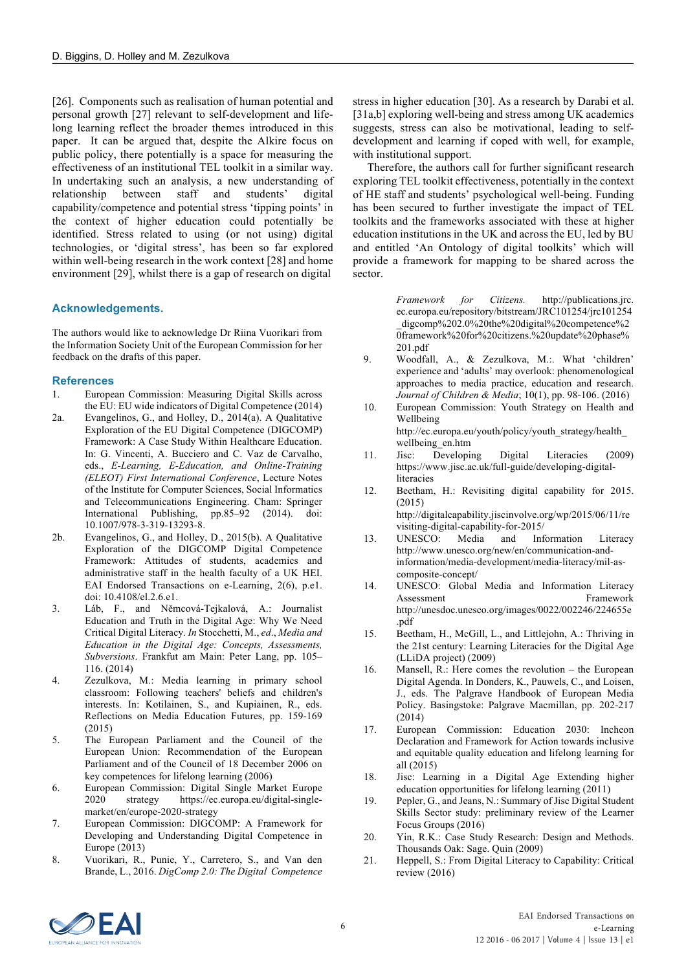[26]. Components such as realisation of human potential and personal growth [27] relevant to self-development and lifelong learning reflect the broader themes introduced in this paper. It can be argued that, despite the Alkire focus on public policy, there potentially is a space for measuring the effectiveness of an institutional TEL toolkit in a similar way. In undertaking such an analysis, a new understanding of relationship between staff and students' digital capability/competence and potential stress 'tipping points' in the context of higher education could potentially be identified. Stress related to using (or not using) digital technologies, or 'digital stress', has been so far explored within well-being research in the work context [28] and home environment [29], whilst there is a gap of research on digital

#### **Acknowledgements.**

The authors would like to acknowledge Dr Riina Vuorikari from the Information Society Unit of the European Commission for her feedback on the drafts of this paper.

#### **References**

- 1. European Commission: Measuring Digital Skills across the EU: EU wide indicators of Digital Competence (2014)
- 2a. Evangelinos, G., and Holley, D., 2014(a). A Qualitative Exploration of the EU Digital Competence (DIGCOMP) Framework: A Case Study Within Healthcare Education. In: G. Vincenti, A. Bucciero and C. Vaz de Carvalho, eds., *E-Learning, E-Education, and Online-Training (ELEOT) First International Conference*, Lecture Notes of the Institute for Computer Sciences, Social Informatics and Telecommunications Engineering. Cham: Springer International Publishing, pp.85–92 (2014). doi: 10.1007/978-3-319-13293-8.
- 2b. Evangelinos, G., and Holley, D., 2015(b). A Qualitative Exploration of the DIGCOMP Digital Competence Framework: Attitudes of students, academics and administrative staff in the health faculty of a UK HEI. EAI Endorsed Transactions on e-Learning, 2(6), p.e1. doi: 10.4108/el.2.6.e1.
- 3. Láb, F., and Němcová-Tejkalová, A.: Journalist Education and Truth in the Digital Age: Why We Need Critical Digital Literacy. *In* Stocchetti, M., *ed*., *Media and Education in the Digital Age: Concepts, Assessments, Subversions*. Frankfut am Main: Peter Lang, pp. 105– 116. (2014)
- 4. Zezulkova, M.: Media learning in primary school classroom: Following teachers' beliefs and children's interests. In: Kotilainen, S., and Kupiainen, R., eds. Reflections on Media Education Futures, pp. 159-169 (2015)
- 5. The European Parliament and the Council of the European Union: Recommendation of the European Parliament and of the Council of 18 December 2006 on key competences for lifelong learning (2006)
- 6. European Commission: Digital Single Market Europe 2020 strategy https://ec.europa.eu/digital-singlemarket/en/europe-2020-strategy
- 7. European Commission: DIGCOMP: A Framework for Developing and Understanding Digital Competence in Europe (2013)
- 8. Vuorikari, R., Punie, Y., Carretero, S., and Van den Brande, L., 2016. *DigComp 2.0: The Digital Competence*

stress in higher education [30]. As a research by Darabi et al. [31a,b] exploring well-being and stress among UK academics suggests, stress can also be motivational, leading to selfdevelopment and learning if coped with well, for example, with institutional support.

 Therefore, the authors call for further significant research exploring TEL toolkit effectiveness, potentially in the context of HE staff and students' psychological well-being. Funding has been secured to further investigate the impact of TEL toolkits and the frameworks associated with these at higher education institutions in the UK and across the EU, led by BU and entitled 'An Ontology of digital toolkits' which will provide a framework for mapping to be shared across the sector.

> *Framework for Citizens.* http://publications.jrc. ec.europa.eu/repository/bitstream/JRC101254/jrc101254 \_digcomp%202.0%20the%20digital%20competence%2 0framework%20for%20citizens.%20update%20phase% 201.pdf

- 9. Woodfall, A., & Zezulkova, M.:. What 'children' experience and 'adults' may overlook: phenomenological approaches to media practice, education and research. *Journal of Children & Media*; 10(1), pp. 98-106. (2016)
- 10. European Commission: Youth Strategy on Health and Wellbeing http://ec.europa.eu/youth/policy/youth\_strategy/health\_
- wellbeing\_en.htm 11. Jisc: Developing Digital Literacies (2009) https://www.jisc.ac.uk/full-guide/developing-digitalliteracies
- 12. Beetham, H.: Revisiting digital capability for 2015. (2015) http://digitalcapability.jiscinvolve.org/wp/2015/06/11/re visiting-digital-capability-for-2015/
- 13. UNESCO: Media and Information Literacy http://www.unesco.org/new/en/communication-andinformation/media-development/media-literacy/mil-ascomposite-concept/
- 14. UNESCO: Global Media and Information Literacy Assessment Framework http://unesdoc.unesco.org/images/0022/002246/224655e .pdf
- 15. Beetham, H., McGill, L., and Littlejohn, A.: Thriving in the 21st century: Learning Literacies for the Digital Age (LLiDA project) (2009)
- 16. Mansell, R.: Here comes the revolution the European Digital Agenda. In Donders, K., Pauwels, C., and Loisen, J., eds. The Palgrave Handbook of European Media Policy. Basingstoke: Palgrave Macmillan, pp. 202-217 (2014)
- 17. European Commission: Education 2030: Incheon Declaration and Framework for Action towards inclusive and equitable quality education and lifelong learning for all (2015)
- 18. Jisc: Learning in a Digital Age Extending higher education opportunities for lifelong learning (2011)
- 19. Pepler, G., and Jeans, N.: Summary of Jisc Digital Student Skills Sector study: preliminary review of the Learner Focus Groups (2016)
- 20. Yin, R.K.: Case Study Research: Design and Methods. Thousands Oak: Sage. Quin (2009)
- 21. Heppell, S.: From Digital Literacy to Capability: Critical review (2016)